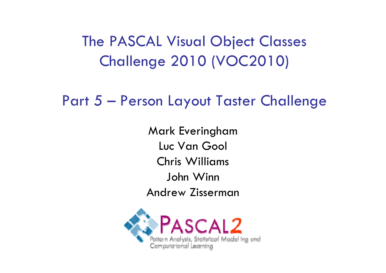The PASCAL Visual Object Classes Challenge 2010 (VOC2010)

Part 5  $\mathcal{L}_{\mathcal{A}}$ Person Layout Taster Challenge

> Mark Everingham Luc Van Gool Chris Williams John Winn Andrew Zisserman

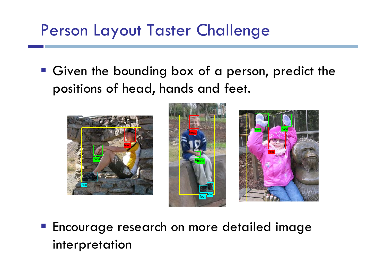# Person Layout Taster Challenge

 Given the bounding box of a person, predict the positions of head, hands and feet.







**Encourage research on more detailed image** interpretation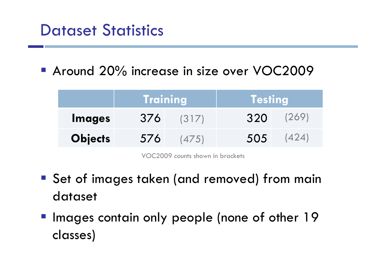## Dataset Statistics

**Around 20% increase in size over VOC2009** 

|                | <b>Training</b> |       | <b>Testing</b> |       |
|----------------|-----------------|-------|----------------|-------|
| <b>Images</b>  | 376             | (317) | 320            | (269) |
| <b>Objects</b> | 576             | (475) | 505            |       |

VOC2009 counts shown in brackets

- Set of images taken (and removed) from main dataset
- **Images contain only people (none of other 19** classes)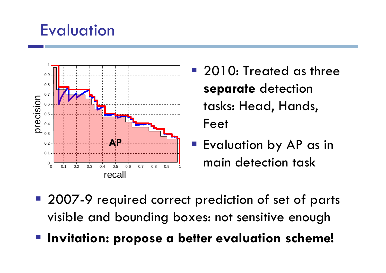# **Evaluation**



- 2010: Treated as three **separate** detection tasks: Head, Hands, Feet
- **E**valuation by AP as in main detection task
- **2007-9** required correct prediction of set of parts visible and bounding boxes: not sensitive enough
- **Invitation: propose a better evaluation scheme!**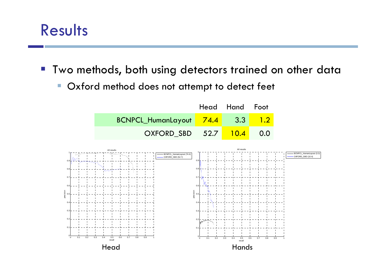## Results

- $\left\vert \cdot\right\vert$  Two methods, both using detectors trained on other data
	- $\mathcal{L}_{\mathcal{A}}$ Oxford method does not attempt to detect feet

|                                 | Head Hand Foot |     |
|---------------------------------|----------------|-----|
| BCNPCL_HumanLayout 74.4 3.3 1.2 |                |     |
| OXFORD SBD 52.7 10.4            |                | 0.0 |

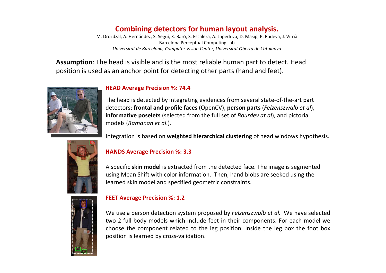#### **Combining detectors for human layout analysis.**

M. Drozdzal, A. Hernández, S. Seguí, X. Baró, S. Escalera, A. Lapedriza, D. Masip, P. Radeva, J. Vitrià Barcelona Perceptual Computing Lab *Universitat de Barcelona, Computer Vision Center, Universitat Oberta de Catalunya*

**Assumption**: The head is visible and is the most reliable human part to detect. Head position is used as an anchor point for detecting other parts (hand and feet).



#### **HEAD Average Precision %: 74.4**

The head is detected by integrating evidences from several state‐of‐the‐art part detectors: **frontal and profile faces** (OpenCV), **person parts** (*Felzenszwalb et al*), **informative poselets** (selected from the full set of *Bourdev at al*), and pictorial models (*Ramanan et al*.).

Integration is based on **weighted hierarchical clustering** of head windows hypothesis.



#### **HANDS Average Precision %: 3.3**

A specific **skin model** is extracted from the detected face. The image is segmented using Mean Shift with color information. Then, hand blobs are seeked using the learned skin model and specified geometric constraints.



#### **FEET Average Precision %: 1.2**

We use <sup>a</sup> person detection system proposed by *Felzenszwalb et al.* We have selected two 2 full body models which include feet in their components. For each model we choose the component related to the leg position. Inside the leg box the foot box position is learned by cross‐validation.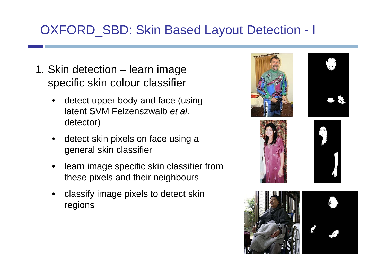## OXFORD SBD: Skin Based Layout Detection - I

- 1. Skin detection learn image specific skin colour classifier
	- detect upper body and face (using latent SVM Felzenszwalb *et al.*  detector)
	- detect skin pixels on face using a general skin classifier
	- learn image specific skin classifier from these pixels and their neighbours
	- classify image pixels to detect skin regions









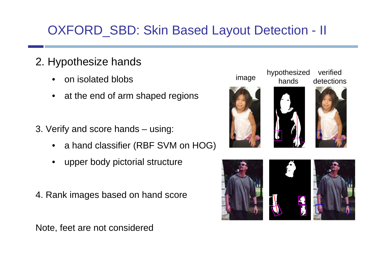## OXFORD\_SBD: Skin Based Layout Detection - II

- 2. Hypothesize hands
	- on isolated blobs
	- at the end of arm shaped regions
- 3. Verify and score hands using:
	- a hand classifier (RBF SVM on HOG)
	- upper body pictorial structure
- 4. Rank images based on hand score

Note, feet are not considered







verified detections